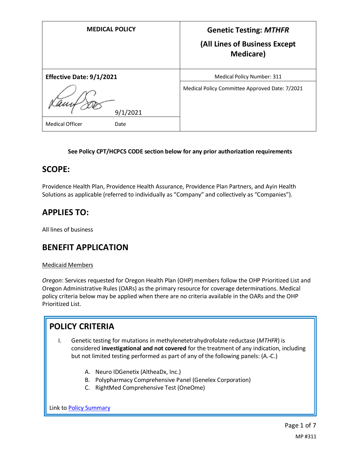| <b>MEDICAL POLICY</b>           | <b>Genetic Testing: MTHFR</b><br>(All Lines of Business Except<br><b>Medicare</b> ) |
|---------------------------------|-------------------------------------------------------------------------------------|
| <b>Effective Date: 9/1/2021</b> | Medical Policy Number: 311                                                          |
| 9/1/2021                        | Medical Policy Committee Approved Date: 7/2021                                      |
| <b>Medical Officer</b><br>Date  |                                                                                     |

### **See Policy CPT/HCPCS CODE section below for any prior authorization requirements**

### **SCOPE:**

Providence Health Plan, Providence Health Assurance, Providence Plan Partners, and Ayin Health Solutions as applicable (referred to individually as "Company" and collectively as "Companies").

## **APPLIES TO:**

All lines of business

## **BENEFIT APPLICATION**

### Medicaid Members

*Oregon*: Services requested for Oregon Health Plan (OHP) members follow the OHP Prioritized List and Oregon Administrative Rules (OARs) as the primary resource for coverage determinations. Medical policy criteria below may be applied when there are no criteria available in the OARs and the OHP Prioritized List.

# **POLICY CRITERIA**

- I. Genetic testing for mutations in methylenetetrahydrofolate reductase (*MTHFR*) is considered **investigational and not covered** for the treatment of any indication, including but not limited testing performed as part of any of the following panels: (A.-C.)
	- A. Neuro IDGenetix (AltheaDx, Inc.)
	- B. Polypharmacy Comprehensive Panel (Genelex Corporation)
	- C. RightMed Comprehensive Test (OneOme)

Link t[o Policy Summary](#page-5-0)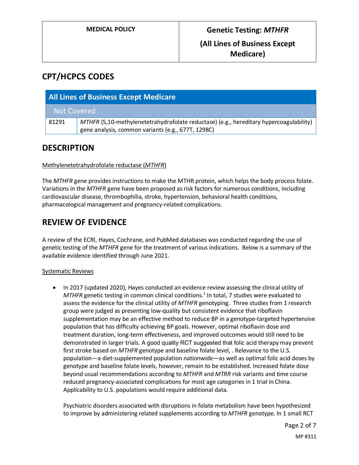## **CPT/HCPCS CODES**

| <b>All Lines of Business Except Medicare</b> |                                                                                                                                              |
|----------------------------------------------|----------------------------------------------------------------------------------------------------------------------------------------------|
| <b>Not Covered</b>                           |                                                                                                                                              |
| 81291                                        | MTHFR (5,10-methylenetetrahydrofolate reductase) (e.g., hereditary hypercoagulability)<br>gene analysis, common variants (e.g., 677T, 1298C) |

## **DESCRIPTION**

### Methylenetetrahydrofolate reductase (*MTHFR*)

The *MTHFR* gene provides instructions to make the MTHR protein, which helps the body process folate. Variations in the *MTHFR* gene have been proposed as risk factors for numerous conditions, including cardiovascular disease, thrombophilia, stroke, hypertension, behavioral health conditions, pharmacological management and pregnancy-related complications.

## **REVIEW OF EVIDENCE**

A review of the ECRI, Hayes, Cochrane, and PubMed databases was conducted regarding the use of genetic testing of the *MTHFR* gene for the treatment of various indications. Below is a summary of the available evidence identified through June 2021.

### Systematic Reviews

• In 2017 (updated 2020), Hayes conducted an evidence review assessing the clinical utility of *MTHFR* genetic testing in common clinical conditions.<sup>1</sup> In total, 7 studies were evaluated to assess the evidence for the clinical utility of *MTHFR* genotyping. Three studies from 1 research group were judged as presenting low-quality but consistent evidence that riboflavin supplementation may be an effective method to reduce BP in a genotype-targeted hypertensive population that has difficulty achieving BP goals. However, optimal riboflavin dose and treatment duration, long-term effectiveness, and improved outcomes would still need to be demonstrated in larger trials. A good quality RCT suggested that folic acid therapy may prevent first stroke based on *MTHFR* genotype and baseline folate level, . Relevance to the U.S. population—a diet-supplemented population nationwide—as well as optimal folic acid doses by genotype and baseline folate levels, however, remain to be established. Increased folate dose beyond usual recommendations according to *MTHFR* and *MTRR* risk variants and time course reduced pregnancy-associated complications for most age categories in 1 trial in China. Applicability to U.S. populations would require additional data.

Psychiatric disorders associated with disruptions in folate metabolism have been hypothesized to improve by administering related supplements according to *MTHFR* genotype. In 1 small RCT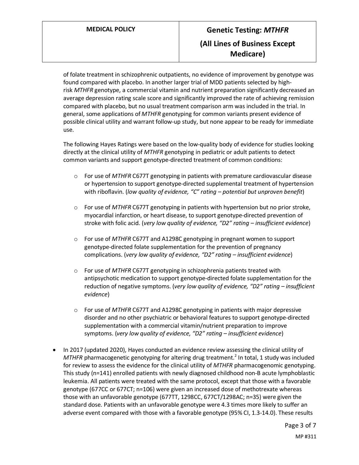of folate treatment in schizophrenic outpatients, no evidence of improvement by genotype was found compared with placebo. In another larger trial of MDD patients selected by highrisk *MTHFR* genotype, a commercial vitamin and nutrient preparation significantly decreased an average depression rating scale score and significantly improved the rate of achieving remission compared with placebo, but no usual treatment comparison arm was included in the trial. In general, some applications of *MTHFR* genotyping for common variants present evidence of possible clinical utility and warrant follow-up study, but none appear to be ready for immediate use.

The following Hayes Ratings were based on the low-quality body of evidence for studies looking directly at the clinical utility of *MTHFR* genotyping in pediatric or adult patients to detect common variants and support genotype-directed treatment of common conditions:

- o For use of *MTHFR* C677T genotyping in patients with premature cardiovascular disease or hypertension to support genotype-directed supplemental treatment of hypertension with riboflavin. (*low quality of evidence, "C" rating – potential but unproven benefit*)
- o For use of *MTHFR* C677T genotyping in patients with hypertension but no prior stroke, myocardial infarction, or heart disease, to support genotype-directed prevention of stroke with folic acid. (*very low quality of evidence, "D2" rating – insufficient evidence*)
- o For use of *MTHFR* C677T and A1298C genotyping in pregnant women to support genotype-directed folate supplementation for the prevention of pregnancy complications. (*very low quality of evidence, "D2" rating – insufficient evidence*)
- o For use of *MTHFR* C677T genotyping in schizophrenia patients treated with antipsychotic medication to support genotype-directed folate supplementation for the reduction of negative symptoms. (*very low quality of evidence, "D2" rating – insufficient evidence*)
- o For use of *MTHFR* C677T and A1298C genotyping in patients with major depressive disorder and no other psychiatric or behavioral features to support genotype-directed supplementation with a commercial vitamin/nutrient preparation to improve symptoms. (*very low quality of evidence, "D2" rating – insufficient evidence*)
- In 2017 (updated 2020), Hayes conducted an evidence review assessing the clinical utility of MTHFR pharmacogenetic genotyping for altering drug treatment.<sup>2</sup> In total, 1 study was included for review to assess the evidence for the clinical utility of *MTHFR* pharmacogenomic genotyping. This study (n=141) enrolled patients with newly diagnosed childhood non-B acute lymphoblastic leukemia. All patients were treated with the same protocol, except that those with a favorable genotype (677CC or 677CT; n=106) were given an increased dose of methotrexate whereas those with an unfavorable genotype (677TT, 1298CC, 677CT/1298AC; n=35) were given the standard dose. Patients with an unfavorable genotype were 4.3 times more likely to suffer an adverse event compared with those with a favorable genotype (95% CI, 1.3-14.0). These results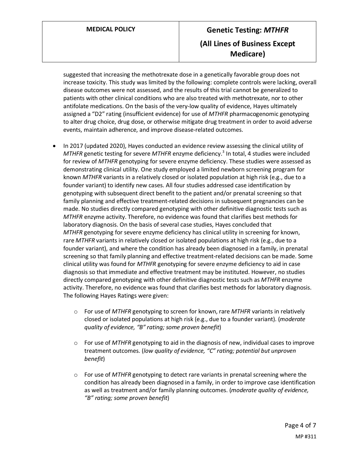suggested that increasing the methotrexate dose in a genetically favorable group does not increase toxicity. This study was limited by the following: complete controls were lacking, overall disease outcomes were not assessed, and the results of this trial cannot be generalized to patients with other clinical conditions who are also treated with methotrexate, nor to other antifolate medications. On the basis of the very-low quality of evidence, Hayes ultimately assigned a "D2" rating (insufficient evidence) for use of *MTHFR* pharmacogenomic genotyping to alter drug choice, drug dose, or otherwise mitigate drug treatment in order to avoid adverse events, maintain adherence, and improve disease-related outcomes.

- In 2017 (updated 2020), Hayes conducted an evidence review assessing the clinical utility of *MTHFR* genetic testing for severe *MTHFR* enzyme deficiency. <sup>3</sup> In total, 4 studies were included for review of *MTHFR* genotyping for severe enzyme deficiency. These studies were assessed as demonstrating clinical utility. One study employed a limited newborn screening program for known *MTHFR* variants in a relatively closed or isolated population at high risk (e.g., due to a founder variant) to identify new cases. All four studies addressed case identification by genotyping with subsequent direct benefit to the patient and/or prenatal screening so that family planning and effective treatment-related decisions in subsequent pregnancies can be made. No studies directly compared genotyping with other definitive diagnostic tests such as *MTHFR* enzyme activity. Therefore, no evidence was found that clarifies best methods for laboratory diagnosis. On the basis of several case studies, Hayes concluded that *MTHFR* genotyping for severe enzyme deficiency has clinical utility in screening for known, rare *MTHFR* variants in relatively closed or isolated populations at high risk (e.g., due to a founder variant), and where the condition has already been diagnosed in a family, in prenatal screening so that family planning and effective treatment-related decisions can be made. Some clinical utility was found for *MTHFR* genotyping for severe enzyme deficiency to aid in case diagnosis so that immediate and effective treatment may be instituted. However, no studies directly compared genotyping with other definitive diagnostic tests such as *MTHFR* enzyme activity. Therefore, no evidence was found that clarifies best methods for laboratory diagnosis. The following Hayes Ratings were given:
	- o For use of *MTHFR* genotyping to screen for known, rare *MTHFR* variants in relatively closed or isolated populations at high risk (e.g., due to a founder variant). (*moderate quality of evidence, "B" rating; some proven benefit*)
	- o For use of *MTHFR* genotyping to aid in the diagnosis of new, individual cases to improve treatment outcomes. (*low quality of evidence, "C" rating; potential but unproven benefit*)
	- o For use of *MTHFR* genotyping to detect rare variants in prenatal screening where the condition has already been diagnosed in a family, in order to improve case identification as well as treatment and/or family planning outcomes. (*moderate quality of evidence, "B" rating; some proven benefit*)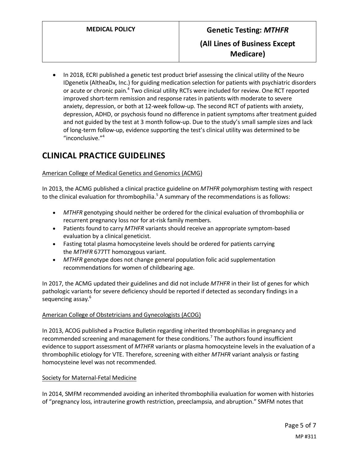• In 2018, ECRI published a genetic test product brief assessing the clinical utility of the Neuro IDgenetix (AltheaDx, Inc.) for guiding medication selection for patients with psychiatric disorders or acute or chronic pain.<sup>4</sup> Two clinical utility RCTs were included for review. One RCT reported improved short-term remission and response rates in patients with moderate to severe anxiety, depression, or both at 12-week follow-up. The second RCT of patients with anxiety, depression, ADHD, or psychosis found no difference in patient symptoms after treatment guided and not guided by the test at 3 month follow-up. Due to the study's small sample sizes and lack of long-term follow-up, evidence supporting the test's clinical utility was determined to be "inconclusive."<sup>4</sup>

# **CLINICAL PRACTICE GUIDELINES**

### American College of Medical Genetics and Genomics (ACMG)

In 2013, the ACMG published a clinical practice guideline on *MTHFR* polymorphism testing with respect to the clinical evaluation for thrombophilia.<sup>5</sup> A summary of the recommendations is as follows:

- *MTHFR* genotyping should neither be ordered for the clinical evaluation of thrombophilia or recurrent pregnancy loss nor for at-risk family members.
- Patients found to carry *MTHFR* variants should receive an appropriate symptom-based evaluation by a clinical geneticist.
- Fasting total plasma homocysteine levels should be ordered for patients carrying the *MTHFR* 677TT homozygous variant.
- *MTHFR* genotype does not change general population folic acid supplementation recommendations for women of childbearing age.

In 2017, the ACMG updated their guidelines and did not include *MTHFR* in their list of genes for which pathologic variants for severe deficiency should be reported if detected as secondary findings in a sequencing assay.<sup>6</sup>

### American College of Obstetricians and Gynecologists (ACOG)

In 2013, ACOG published a Practice Bulletin regarding inherited thrombophilias in pregnancy and recommended screening and management for these conditions.<sup>7</sup> The authors found insufficient evidence to support assessment of *MTHFR* variants or plasma homocysteine levels in the evaluation of a thrombophilic etiology for VTE. Therefore, screening with either *MTHFR* variant analysis or fasting homocysteine level was not recommended.

#### Society for Maternal-Fetal Medicine

In 2014, SMFM recommended avoiding an inherited thrombophilia evaluation for women with histories of "pregnancy loss, intrauterine growth restriction, preeclampsia, and abruption." SMFM notes that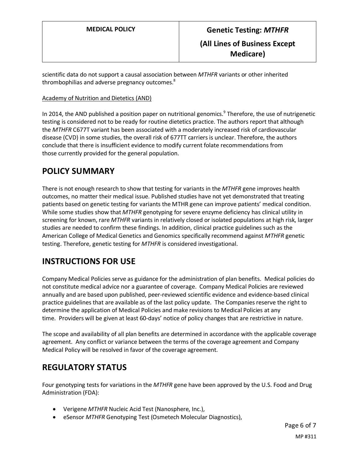scientific data do not support a causal association between *MTHFR* variants or other inherited thrombophilias and adverse pregnancy outcomes.<sup>8</sup>

#### Academy of Nutrition and Dietetics (AND)

In 2014, the AND published a position paper on nutritional genomics.<sup>9</sup> Therefore, the use of nutrigenetic testing is considered not to be ready for routine dietetics practice. The authors report that although the *MTHFR* C677T variant has been associated with a moderately increased risk of cardiovascular disease (CVD) in some studies, the overall risk of 677TT carriers is unclear. Therefore, the authors conclude that there is insufficient evidence to modify current folate recommendations from those currently provided for the general population.

### <span id="page-5-0"></span>**POLICY SUMMARY**

There is not enough research to show that testing for variants in the *MTHFR* gene improves health outcomes, no matter their medical issue. Published studies have not yet demonstrated that treating patients based on genetic testing for variants the MTHR gene can improve patients' medical condition. While some studies show that *MTHFR* genotyping for severe enzyme deficiency has clinical utility in screening for known, rare *MTHFR* variants in relatively closed or isolated populations at high risk, larger studies are needed to confirm these findings. In addition, clinical practice guidelines such as the American College of Medical Genetics and Genomics specifically recommend against *MTHFR* genetic testing. Therefore, genetic testing for *MTHFR* is considered investigational.

## **INSTRUCTIONS FOR USE**

Company Medical Policies serve as guidance for the administration of plan benefits. Medical policies do not constitute medical advice nor a guarantee of coverage. Company Medical Policies are reviewed annually and are based upon published, peer-reviewed scientific evidence and evidence-based clinical practice guidelines that are available as of the last policy update. The Companies reserve the right to determine the application of Medical Policies and make revisions to Medical Policies at any time. Providers will be given at least 60-days' notice of policy changes that are restrictive in nature.

The scope and availability of all plan benefits are determined in accordance with the applicable coverage agreement. Any conflict or variance between the terms of the coverage agreement and Company Medical Policy will be resolved in favor of the coverage agreement.

## **REGULATORY STATUS**

Four genotyping tests for variations in the *MTHFR* gene have been approved by the U.S. Food and Drug Administration (FDA):

- Verigene *MTHFR* Nucleic Acid Test (Nanosphere, Inc.),
- eSensor *MTHFR* Genotyping Test (Osmetech Molecular Diagnostics),